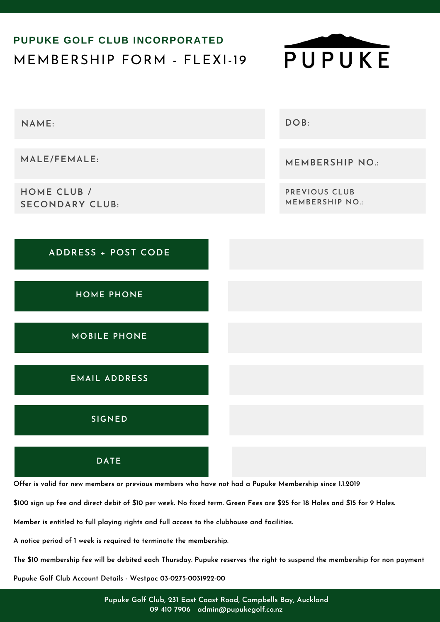## MEMBERSHIP FORM - FLEXI-19 **PUPUKE GOLF CLUB INCORPORATED**





Offer is valid for new members or previous members who have not had a Pupuke Membership since 1.1.2019

\$100 sign up fee and direct debit of \$10 per week. No fixed term. Green Fees are \$25 for 18 Holes and \$15 for 9 Holes.

**Member is entitled to full playing rights and full access to the clubhouse and facilities.**

**A notice period of 1 week is required to terminate the membership.**

The \$10 membership fee will be debited each Thursday. Pupuke reserves the right to suspend the membership for non payment

**Pupuke Golf Club Account Details - Westpac 03-0275-0031922-00**

**Pupuke Golf Club, 231 East Coast Road, Campbells Bay, Auckland 09 410 7906 admin@pupukegolf.co.nz**